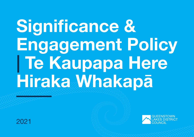# Significance & Engagement Policy | Te Kaupapa Here Hiraka Whakap**ā**



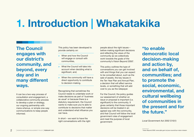# 1. Introduction | Whakatakika

The Council engages with our district's community, and beyond, every day and in many different ways.

It can be a two-way process of consultation and engagement, a collaborative community process to develop a plan or strategy, our ongoing partnership with mana whenua, or simple one-way communications to keep people informed.

This policy has been developed to provide certainty on:

- > When and how the Council will engage or consult with communities,
- > What the Council will take into account when deciding what is significant, and;
- > When the community will have a direct opportunity to contribute to decision-making.

Recognising that sometimes the Council needs to undertake work or make decisions as part of 'business as usual' or because there is a statutory requirement, the Council wants to make sure you're able to contribute to decisions that matter and understand what influence you can have.

In short – we want to have the right conversations with the right people about the right issues – before making significant decisions and reflecting the views of the community as we collectively work towards the goals of the community's Vision Beyond 2050<sup>1</sup>.

This policy outlines the type of conversations you can get involved with and things that you can expect to be consulted about, such as the sale of assets, the key issues in the Ten Year Plan and Annual Plan, a decision that will affect service levels, or something that will add cost to you as the ratepayer.

For the Council, the policy guides our assessment of whether an issue or proposal is important (i.e. significant) to the community. It gives certainty that those important decisions will be treated in an agreed way with the community, and that Council will follow the local government rules of engagement and meet the purpose of local government:

#### "to enable democratic local decision-making and action by, and on behalf of, communities; and to promote the social, economic, environmental, and cultural wellbeing of communities in the present and for the future."

*Local Government Act 2002 S10(1)*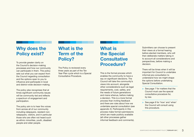#### Why does the Policy exist?

To provide greater clarity on the Council's decision-making processes and how our community can participate in them. This policy sets out what you can expect from the Council regarding consultation and the options open to you to influence and participate in local and district-wide decision-making.

The policy also recognises that at times significant community issues will be community-led and reflects a spectrum of engagement and participation.

The policy aim is to hear the voices from across all of our community including ratepayers, resident nonratepayers, visitors, and in particular those who are often not heard such as ethnic minorities, youth, disabled people and older people.

### What is the Term of the Policy?

The Policy is reviewed every three years as part of the Ten Year Plan cycle which is a Special Consultative Procedure.

#### What is the Special **Consultative** Procedure?

This is the formal process which enables the community to have a say on significant decisions. The Council will take the community's views into account, alongside other considerations such as legal requirements, cost, safety, and the needs of future generations and mana whenua, before making a decision. This is a more formal process than inviting feedback and there are rules about how we undertake special consultation (*see appendix 2*). Participants in this process make formal submissions which are made publicly available (all other processes gather informal feedback and comments).

Submitters can choose to present their views at a formal hearing before elected members, who will then deliberate matters taking in to account all considerations and perspectives, before making a decision.

There will be times when it will be important for Council to undertake informal pre-consultation to understand how we might shape the options before undertaking Special Consultation.

- > See *page 7* for matters that the Council must use the special consultative procedure for, by law.
- > See *page 8* for 'how' and 'when' the Council will consult using this procedure.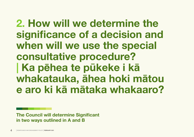# 2. How will we determine the significance of a decision and when will we use the special consultative procedure? | Ka p**ē**hea te p**ū**keke i k**ā** whakatauka, **ā**hea hoki m**ā**tou e aro ki k**ā** m**ā**taka whakaaro?

The Council will determine Significant in two ways outlined in A and B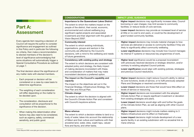| <b>Part A:</b>    |
|-------------------|
| <b>Assessment</b> |

Every agenda item requiring a decision of Council will require the author to consider significance and engagement as outlined in this Policy and in particular the following six criteria, then make a recommendation to elected members of the decision's level of significance acknowledging that some situations will automatically trigger a Special Consultative Procedure as outlined on *page 7*.

The final decision about the significance of any matter rests with elected members.

- > Each proposal or decision will be considered on a case-by-case basis to determine significance.
- > The weighting of each consideration will differ depending on the matter to be decided upon.
- > The consideration, disclosure and consultation will be proportional to the significance of the decision.
- > When making this determination other factors may also need to be considered, such as urgency, safety, commercial sensitivity, and public good.

| <b>CONSIDERATIONS</b>                                                                                                                                                                                                                                                                                                                         | <b>IMPACT LEVEL GUIDANCE</b>                                                                                                                                                                                                                                                                                                                                       |
|-----------------------------------------------------------------------------------------------------------------------------------------------------------------------------------------------------------------------------------------------------------------------------------------------------------------------------------------------|--------------------------------------------------------------------------------------------------------------------------------------------------------------------------------------------------------------------------------------------------------------------------------------------------------------------------------------------------------------------|
| <b>Importance to the Queenstown Lakes District</b><br>The extent to which the matters impact on the<br>people of the district, their social, economic,<br>environmental and cultural wellbeing (e.g.<br>significant capital projects and associated<br>investment) and their alignment with the goals of<br>Vision Beyond 2050 <sup>2</sup> . | > Higher impact decisions may significantly increase rates, Council<br>borrowing or user charges; may limit access to community<br>facilities; or reduce levels of core services.<br>> Lower impact decisions may provide an increased level of service<br>at little or no cost to end users, or could be the development of<br>grant funded community facilities. |
| <b>Community interest</b><br>The extent to which existing individuals,<br>organisations, groups and sectors in the<br>community are affected by the Council's<br>decisions, with a mind to the wellbeing and needs<br>of future generations.                                                                                                  | Higher impact decisions may include material changes to how<br>$\geq$<br>services are delivered or access to community facilities if they are<br>likely to significantly affect community wellbeing.<br>Lower significance decisions may include how Council manages<br>$\geq$<br>its internal IT systems or resources key programmes of work.                     |
| Consistency with existing policy and strategy<br>The extent to which decisions are consistent with<br>adopted policy and strategy, the likely impact<br>of making decisions inconsistent with these,<br>and consideration of matters that may make<br>inconsistent decisions a preferred option.                                              | Higher level significance would be a proposal inconsistent<br>$\geq$<br>with previously resolved decisions or strategic direction, and/or<br>contrary to existing adopted Council policies.<br>Lower significance would align with existing policies, strategies<br>$\geq$<br>and previous Council resolutions.                                                    |
| The impact on the Council's capability and<br>capacity<br>The impact on the objectives set out in the<br>Financial Strategy, Infrastructure Strategy, Ten<br>Year Plan and Annual Plan.                                                                                                                                                       | Higher impact decisions might reduce Council's ability to deliver<br>$\geq$<br>its core functions, levels of service, or to fulfil previously adopted<br>Plans and Strategies or resolved commitments.<br>Lower impact decisions are those that would have little effect on<br>$\geq$<br>levels of service or resourcing.                                          |
| <b>Climate change</b><br>The extent to which the decision is aligned with<br>the Council's Climate Action Plan and consistent<br>with Council's keystone actions.                                                                                                                                                                             | Higher impact decisions are inconsistent with the adopted<br>$\geq$<br>Climate Action Plan or require significant investment or deviation<br>from existing strategies and plans.<br>> Lower impact decisions would align with and further the goals<br>of the Climate Action Plan, as well as aligning with other Council<br>plans.                                |
| <b>Mana whenua</b><br>The extent to which a decision relates to land or a<br>body of water, takes into account the relationship<br>of Māori and their culture and traditions with their<br>ancestral land, water, sites, waahi tapu, valued<br>flora and fauna, and other taoka.                                                              | > Higher impact decisions might include matters relating to 3<br>Waters infrastructure and its effect on freshwater.<br>> Lower impact decisions might include development of a new<br>sports facility in an existing subdivision with no ancestral link to<br>mana whenua.                                                                                        |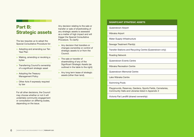### Part B: Strategic assets

The law requires us to adopt the Special Consultative Procedure for:

- > Adopting and amending our Ten Year Plan
- > Making, amending or revoking a bylaw
- > Transferring Council's ownership of a significant strategic asset
- > Adopting the Treasury Management Policy
- > Other Acts if expressly required by law

For all other decisions, the Council may choose whether or not it will undertake community engagement or consultation on differing scales, depending on the issue.

Any decision relating to the sale or transfer or sale of shareholding of any strategic assets is assessed as a matter of high impact and will trigger the Special Consultative Procedure. To clarify:

- > Any decision that transfers or changes ownership or control of strategic assets to or from the Council.
- > The sale or transfer of shareholding of any of the Significant Strategic Assets (as outlined in the table to the right)
- > Any long term lease of strategic assets (other than land).

#### SIGNIFICANT STRATEGIC ASSETS

Queenstown Airport

Wānaka Airport

Water Supply Infrastructure

Sewage Treatment Plant(s)

Transfer Stations and Recycling Centre (Queenstown only)

Roading Network

Queenstown Events Centre

Wānaka Recreation Centre

Queenstown Memorial Centre

Lake Wānaka Centre

Swimming Pools

Playgrounds, Reserves, Gardens, Sports Fields, Cemeteries, Community Halls and Libraries listed in *Appendix 3*

Victoria Flat Landfill (shared ownership)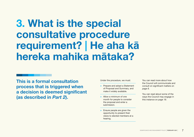### 3. What is the special consultative procedure requirement? | He aha k**ā** hereka mahika m**ā**taka?

This is a formal consultation process that is triggered when a decision is deemed significant (as described in *Part 2*).

Under the procedure, we must:

- > Prepare and adopt a Statement of Proposal and Summary, and make it widely available.
- > Allow a minimum of one month for people to consider the proposal and enter a submission.
- > Ensure people are given the opportunity to present their views to elected members at a hearing.

You can read more about how the Council will communicate and consult on significant matters on *page 8*.

You can read about some of the ways the Council may engage in this instance on *page 19*.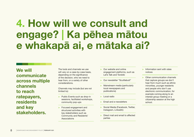## 4. How will we consult and engage? | Ka p**ē**hea m**ā**tou e whakap**ā** ai, e m**ā**taka ai?

#### We will communicate across multiple channels to reach ratepayers, residents and key stakeholders.

The tools and channels we use will vary on a case-by-case basis. depending on the significance of the decision, who we need to hear from, or a variety of other considerations.

Channels may include (but are not limited to):

- > Public Events such as drop-in sessions, facilitated workshops, community pop-ups
- > Focused engagement and structured activities with key stakeholders such as Community and Residents' Associations
- > Our website and online engagement platforms, such as Let's Talk and Torokiki
- > Our newsletter "Scuttlebutt"
- > Mainstream media (particularly local newspapers and publications)
- > Local radio
- > Email and e-newsletters
- > Social Media (Facebook, Twitter, Instagram, LinkedIn)
- > Direct mail and email to affected parties
- > Information sent with rates notices
- > Other communication channels that capture groups we don't hear from much such as ethnic minorities, younger residents and people who don't use electronic communication, for example coming along to an interest group meeting or a citizenship session at the high school.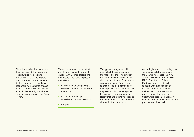We acknowledge that just as we have a responsibility to provide opportunities for people to engage with us on the matters they care about or are interested in, the community in turn has a responsibility whether to engage with the Council. We will respect every individual's right to choose whether to engage with the Council or not.

These are some of the ways that people have told us they want to engage with Council officers and their elected members to pass on their views:

- > Online, such as completing a survey or other online feedback mechanism
- > In person at meetings, workshops or drop-in sessions
- > Emailing

The type of engagement will also reflect the significance of the matter and the level to which the community can influence the decision or outcome. For example, some decisions of Council are to ensure legal compliance or to ensure public safety. Other matters may seek a collaborative approach to designing a new community facility that has extensive scope or options that can be considered and shaped by the community.

Accordingly, when considering how we engage with the community the Council references the IAP2<sup>3</sup> Spectrum of Public Participation. IAP2's Spectrum of Public Participation was designed to assist with the selection of the level of participation that defines the public's role in any public participation process. The Spectrum is used internationally, and it is found in public participation plans around the world.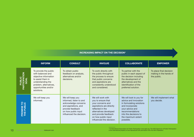#### INCREASING IMPACT ON THE DECISION\*

|                                                    | <b>INFORM</b>                                                                                                                                                                 | <b>CONSULT</b>                                                                                                                                                     | <b>INVOLVE</b>                                                                                                                                                                                                    | <b>COLLABORATE</b>                                                                                                                                                                                | <b>EMPOWER</b>                                                   |
|----------------------------------------------------|-------------------------------------------------------------------------------------------------------------------------------------------------------------------------------|--------------------------------------------------------------------------------------------------------------------------------------------------------------------|-------------------------------------------------------------------------------------------------------------------------------------------------------------------------------------------------------------------|---------------------------------------------------------------------------------------------------------------------------------------------------------------------------------------------------|------------------------------------------------------------------|
| $\overline{D}$<br><b>UBLIC</b><br>ICIPAT<br>PARTIC | To provide the public<br>with balanced and<br>objective information<br>to assist them in<br>understanding the<br>problem, alternatives,<br>opportunities and/or<br>solutions. | To obtain public<br>feedback on analysis,<br>alternatives and/or<br>decisions.                                                                                     | To work directly with<br>the public throughout<br>the process to ensure<br>that public concerns<br>and aspirations are<br>consistently understood<br>and considered.                                              | To partner with the<br>public in each aspect of<br>the decision including<br>the development of<br>alternatives and the<br>identification of the<br>preferred solution.                           | To place final decision<br>making in the hands of<br>the public. |
| PROMISE TO<br>THE PUBLIC                           | We will keep you<br>informed.                                                                                                                                                 | We will keep you<br>informed, listen to and<br>acknowledge concerns<br>and aspirations, and<br>provide feedback<br>on how public input<br>influenced the decision. | We will work with<br>you to ensure that<br>your concerns and<br>aspirations are directly<br>reflected in the<br>alternatives developed<br>and provide feedback<br>on how public input<br>influenced the decision. | We will look to you for<br>advice and innovation<br>in formulating solutions<br>and incorporate<br>your advice and<br>recommendations<br>into the decisions to<br>the maximum extent<br>possible. | We will implement what<br>you decide.                            |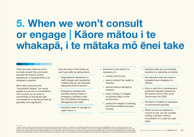# 5. When we won't consult or engage | K**ā**ore m**ā**tou i te whakap**ā**, i te m**ā**taka m**ō ē**nei take

#### There are times when we won't normally consult the community because the issue is routine, operational, or because there is an emergency situation.

We're also conscious that "consultation fatigue" can cause people to tune out of conversations with councils, so we want to concentrate on having the right conversations on the issues that are generally more significant.

Here are some of the things we won't generally be asking about:

- > Organisational decisions (i.e. staff changes and operational matters) that do not materially reduce the level of service<sup>4</sup>.
- > Emergency management activities during a state of emergency declared under the Civil Defence Emergency Management Act 2002.
- > Decisions taken to manage an urgent issue, or
- > Decisions to act where it is necessary to –
	- o comply with the law,
	- o save or protect life, health or amenity,
	- o prevent serious damage to property,
	- o avoid, remedy or mitigate an adverse effect on the environment,
	- o protect the integrity of existing and future infrastructure and amenity.
- > Decisions that are commercially sensitive (i.e. awarding contracts).
- > Any decisions that are made by delegation/sub-delegation to officers.
- > Entry or exit from a development agreement (private contract) as per section 207A of the Local Government Act 2002.
- > Decisions in relation to regulatory or enforcement activities.
- > Where we are not required to consult by law, we can consider making a decision without consultation on a case-by-case basis.

4 Levels of service define the services that the Council provides to the community. For example, the facilities and the hours they are open; the standards to which we maintain parks or road surfaces; how often waste and recycling are collected. All of these levels of service are set out in the Ten Year Plan. If the Council changed something that would materially affect the community and involved a change to the level of service agreed in the Ten Year Plan, then we would need to consider consulting the community about that, If the Council considered that the change was not material or would not alter the level of service (for example, changing the way we do something) then we might assess that this was purely operational and would not require specific consultation.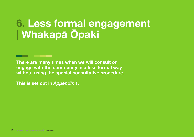# 6. Less formal engagement | Whakap**ā Ō**paki

There are many times when we will consult or engage with the community in a less formal way without using the special consultative procedure.

This is set out in *Appendix 1*.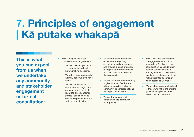# 7. Principles of engagement | K**ā** p**ū**take whakap**ā**

This is what you can expect from us when we undertake any community and stakeholder engagement or formal consultation:

- > We will be genuine in our consultation and engagement.
	- o We will have an open mind to community feedback before making decisions.
	- o We will give our community a timely opportunity to have a say.
	- o We will endeavour to reach a broad range of the community with particular regard to directly affected parties / stakeholders to ensure a representative and wide community view.
- > We want to meet community expectations regarding consultation and engagement, and provide a range of options to engage or provide feedback that best meets the needs for the community.
- > We will empower the community to give informed feedback and wherever possible enable the community to consider options relating to the decision.
- > We want to engage and consult with the community appropriately.
- > We will not treat consultation or engagement as a poll or referendum; feedback is one consideration alongside other aspects such as available funding, technical possibilities, legislative requirements, etc and will be weighted accordingly when decisions are made.
- > We will always provide feedback to those who make the effort to give us their opinions and we will explain our decisions.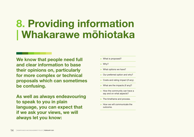# 8. Providing information | Whakarawe m**ō**hiotaka

We know that people need full and clear information to base their opinions on, particularly for more complex or technical proposals which can sometimes be confusing.

As well as always endeavouring to speak to you in plain language, you can expect that if we ask your views, we will always let you know:

- > What is proposed?
- > Why?
- > What options we have?
- > Our preferred option and why?
- > Costs and rating impact (if any).
- > What are the impacts (if any)?
- > How the community can have a say and on what aspects?
- > The timeframe and process.
- > How we will communicate the outcome.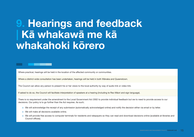### 9. Hearings and feedback | K**ā** whakaw**ā** me k**ā** whakahoki k**ō**rero

Where practical, hearings will be held in the location of the affected community or communities.

Where a district-wide consultation has been undertaken, hearings will be held in both Wānaka and Queenstown.

The Council can allow any person to present his or her views to the local authority by way of audio link or video link.

If asked to do so, the Council will facilitate interpretation of speakers at a hearing (including te Reo Māori and sign language).

There is no requirement under the amendment to the Local Government Act 2002 to provide individual feedback but we to need to provide access to our decisions. Our policy is to go further than the Act requires. As such;

- o We will acknowledge the receipt of any submission (automatically acknowledged online) and notify the decision either via email or by letter.
- o We will make all decisions available online.
- o We will provide free access to computer terminals for residents and ratepayers so they can read and download decisions online (available at libraries and Council offices).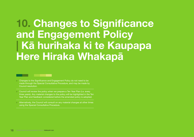### 10. Changes to Significance and Engagement Policy | K**ā** hurihaka ki te Kaupapa Here Hiraka Whakap**ā**



- > Changes to the Significance and Engagement Policy do not need to be made through the Special Consultative Procedure, and may be made by Council resolution.
- > Council will review the policy when we prepare a Ten Year Plan (i.e. every three years). Any material changes to the policy will be highlighted in the Ten Year Plan and feedback considered before the amended policy is adopted.
- > Alternatively, the Council will consult on any material changes at other times using the Special Consultative Procedure.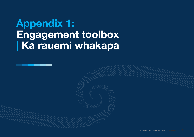# Appendix 1: Engagement toolbox | K**ā** rauemi whakap**ā**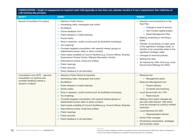| CONSULTATION - length of engagement as required under LGA (typically no less than one calendar month) or if not a requirement, then reflective of<br>a 20 working day principle. |                                                                                                                                                                                                                                                                                                                                                                                                                                                                                                                                                                                                                                                                                                          |                                                                                                                                                                                                                                                                                                                                                                                                                                                                                        |  |  |
|----------------------------------------------------------------------------------------------------------------------------------------------------------------------------------|----------------------------------------------------------------------------------------------------------------------------------------------------------------------------------------------------------------------------------------------------------------------------------------------------------------------------------------------------------------------------------------------------------------------------------------------------------------------------------------------------------------------------------------------------------------------------------------------------------------------------------------------------------------------------------------------------------|----------------------------------------------------------------------------------------------------------------------------------------------------------------------------------------------------------------------------------------------------------------------------------------------------------------------------------------------------------------------------------------------------------------------------------------------------------------------------------------|--|--|
| <b>WHAT?</b>                                                                                                                                                                     | HOW?                                                                                                                                                                                                                                                                                                                                                                                                                                                                                                                                                                                                                                                                                                     | <b>WHEN?</b>                                                                                                                                                                                                                                                                                                                                                                                                                                                                           |  |  |
| Special Consultative Procedure                                                                                                                                                   | > Statutory Public Notice<br>> Advertising radio, newspaper and online<br>Scuttlebutt<br>⋗<br>Online feedback form<br>⋗<br>Press releases or media standup<br>⋗<br>Social media<br>><br>Drop in sessions / public events such as facilitated workshops<br>Hui (meeting) <sup>5</sup><br>⋗<br>Consider targeted consultation with special interest groups or<br>$\geq$<br>stakeholders (email, letter or direct contact)<br>> Hard copies available at Council facilities (e.g. Council offices, libraries,<br>Queenstown Events Centre, Wānaka Recreation Centre)<br>> Submissions (online, email and written)<br>Public hearings<br>⋗<br>Public decision<br>⋗<br>Direct feedback to all submitters<br>⋗ | > Adoption and amendment to Ten<br>Year Plan<br>o Change to level of service<br>o Non-funded capital project<br>o Asset Management Plan<br>> Making, amending or revoking a<br>bylaw<br>> Transfer of ownership of major parts<br>of the significant strategic asset, or<br>transfer of an ownership stake in the<br>significant strategic asset<br>> Changes to financial policies<br>> Setting the rates<br>> As required by other Acts (e.g. Local<br>Government (Rating) Act 2002) |  |  |
| Consultation (non SCP) - genuine<br>consultation on options and<br>consider feedback before a<br>decision is taken) <sup>6</sup>                                                 | > Statutory Public Notice (if required)<br>Advertising radio, newspaper and online<br>Scuttlebutt<br>Press releases or media standup<br>⋗<br>Social media<br>$\geq$<br>Drop in sessions / public events such as facilitated workshops<br>⋗<br>Hui (meeting)<br>$\geq$<br>> Consider targeted consultation with special interest groups or<br>stakeholders (email, letter or direct contact)<br>> Hard copies available at Council facilities (e.g. Council offices, libraries)<br>> Submissions (online, email and written)<br>> Public hearings<br>Public decision<br>$\geq$<br>Direct feedback to all submitters                                                                                       | > Reserves Act<br>o Management plans<br>> Resource Management Act<br>o Project delivery<br>o Consents and licensing<br>Local Government Act 1974<br>$\geq$<br>o Road closure<br>> Making minor bylaw changes (as<br>per LGA 2002 Section 156) which<br>must be changed by publicly notified<br>resolution<br>> Local Electoral Act 2001<br><b>o</b> Representation Review<br>> District Plan changes<br>> Developing masterplans, strategies<br>and business cases                     |  |  |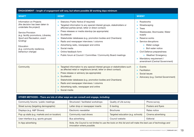| ENGAGEMENT - length of engagement will vary, but where possible 20 working days minimum                                                                                                                                                                        |                                                                                                                                                                                                                                                                                                                                                                                                                                                                                                                                                                                                 |                                                                                                                                                                                                                                                                                                                                        |  |  |
|----------------------------------------------------------------------------------------------------------------------------------------------------------------------------------------------------------------------------------------------------------------|-------------------------------------------------------------------------------------------------------------------------------------------------------------------------------------------------------------------------------------------------------------------------------------------------------------------------------------------------------------------------------------------------------------------------------------------------------------------------------------------------------------------------------------------------------------------------------------------------|----------------------------------------------------------------------------------------------------------------------------------------------------------------------------------------------------------------------------------------------------------------------------------------------------------------------------------------|--|--|
| <b>WHAT?</b>                                                                                                                                                                                                                                                   | HOW?                                                                                                                                                                                                                                                                                                                                                                                                                                                                                                                                                                                            | <b>WHEN?</b>                                                                                                                                                                                                                                                                                                                           |  |  |
| Information on Projects<br>(the decision has been taken to<br>undertake the project)<br>Service Provision<br>(e.g. facility promotions, Libraries,<br>Sport and Recreation, event<br>funding)<br>Education<br>(e.g. community resilience,<br>behaviour change) | Statutory Public Notice (if required)<br>$\geq$<br>Targeted information to any special interest groups, stakeholders or<br>affected parties (email, letter or direct contact)<br>Press releases or media standup (as appropriate)<br>$\geq$<br>Scuttlebutt<br>$\geq$<br>Stakeholder databases (e.g. promotion bodies and Chambers)<br>$\geq$<br>Radio and newspaper interviews / columns<br>$\geq$<br>Advertising radio, newspaper and online<br>$\geq$<br>Social media<br>$\geq$<br>Online feedback form<br>$\geq$<br>Public forum at Council / Committee / Community Board meetings<br>$\geq$ | > Roadworks<br>> Streetscaping<br>$\ge$ Trees<br>Wastewater, Stormwater, Water<br>$\geq$<br>supply<br>Reserve works<br>$\geq$<br>Service disruptions<br>$\geq$<br>o Water outage<br>o Boil water notice<br>> Civil Defence preparedness<br>o Weather/ Emergency<br>Mandatory requirement /<br>$\geq$<br>amendment (Central Government) |  |  |
| Community                                                                                                                                                                                                                                                      | Targeted information to any special interest groups or stakeholders such<br>$\geq$<br>as affected retail or neighbours (email, letter or direct contact)<br>Press release or advisory (as appropriate)<br>$\geq$<br>Scuttlebutt<br>$\geq$<br>Stakeholder databases (e.g. promotion bodies and Chambers)<br>$\geq$<br>Radio and newspaper interviews / columns<br>$\geq$<br>Advertising radio, newspaper and online<br>> Social media                                                                                                                                                            | > Events<br>> Facilitation<br>> Social issues<br>> Advocacy (e.g. Central Government)                                                                                                                                                                                                                                                  |  |  |

| OTHER METHODS - There are lots of other ways we can consult and engage, including: |                                                                                                                                           |                                   |                    |  |
|------------------------------------------------------------------------------------|-------------------------------------------------------------------------------------------------------------------------------------------|-----------------------------------|--------------------|--|
| Community forums / public meetings                                                 | Structured / facilitated workshops                                                                                                        | Quality of Life survey            | Phone survey       |  |
| Street survey (targeting demographic)                                              | Letter drop or newspaper inserts                                                                                                          | E-texting                         | Posters and flyers |  |
| Displays (e.g. A&P Shows)                                                          | Electronic newsletter                                                                                                                     | <b>Brochures</b>                  | Rates notice       |  |
| Pop up stalls (e.g. markets and on location)                                       | Community road shows                                                                                                                      | Targeted education (e.g. schools) | Cinema advertising |  |
| User interface (e.g. sports groups)                                                | Bus advertising                                                                                                                           | Council website                   | Editorial          |  |
| In-App advertising                                                                 | Note, the Council is not limited to use the tools on this list and will make the best use of technology and<br>innovation where possible. |                                   |                    |  |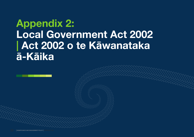### Appendix 2: Local Government Act 2002 | Act 2002 o te K**ā**wanataka **ā**-K**ā**ika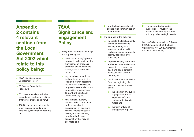#### Appendix 2 contains 4 relevant sections from the Local Government Act 2002 which relate to this policy being:

- > 76AA Significance and Engagement Policy
- > 83 Special Consultative Procedure
- > 86 Use of special consultative procedure in relation to making, amending, or revoking bylaws
- > 156 Consultation requirements when making, amending, or revoking bylaws made under this Act

#### 76AA Significance and Engagement **Policy**

- 1) Every local authority must adopt a policy setting out
	- a) that local authority's general approach to determining the significance of proposals and decisions in relation to issues, assets, and other matters; and
	- b) any criteria or procedures that are to be used by the local authority in assessing the extent to which issues, proposals, assets, decisions, or activities are significant or may have significant consequences; and
	- c) how the local authority will respond to community preferences about engagement on decisions relating to specific issues, assets, or other matters, including the form of consultation that may be desirable; and
- d) how the local authority will engage with communities on other matters.
- 2) The purpose of the policy is
	- a) to enable the local authority and its communities to identify the degree of significance attached to particular issues, proposals, assets, decisions, and activities; and
	- b) to provide clarity about how and when communities can expect to be engaged in decisions about different issues, assets, or other matters; and
	- c) to inform the local authority from the beginning of a decision-making process about
		- $i$ . the extent of any public engagement that is expected before a particular decision is made; and
		- ii. the form or type of engagement required.

3) The policy adopted under subsection (1) must list the assets considered by the local authority to be strategic assets.

Section 76AA: inserted, on 8 August 2014, by section 20 of the Local Government Act 2002 Amendment Act 2014 (2014 No 55).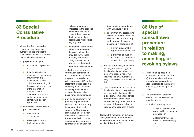#### 83 Special **Consultative Procedure**

- 1) Where this Act or any other enactment requires a local authority to use or adopt the special consultative procedure, that local authority must
	- a) prepare and adopt
		- i. a statement of proposal; and
		- ii. if the local authority considers on reasonable grounds that it is necessary to enable public understanding of the proposal, a summary of the information contained in the statement of proposal (which summary must comply with section 83AA); and
	- b) ensure that the following is publicly available:
		- i. the statement of proposal; and
		- ii. a description of how the local authority

will provide persons interested in the proposal with an opportunity to present their views to the local authority in accordance with section 82(1)(d); and

- iii. a statement of the period within which views on the proposal may be provided to the local authority (the period being not less than 1 month from the date the statement is issued); and
- c) make the summary of the information contained in the statement of proposal prepared in accordance with paragraph (a)(ii) (or the statement of proposal, if a summary is not prepared) as widely available as is reasonably practicable as a basis for consultation; and
- d) provide an opportunity for persons to present their views to the local authority in a manner that enables spoken (or New Zealand sign language) interaction between the person and the local authority, or any representatives to whom an appropriate delegation has

been made in accordance with Schedule 7; and

- e) ensure that any person who wishes to present his or her views to the local authority or its representatives as described in paragraph (d)
	- i. is given a reasonable opportunity to do so; and
	- ii. is informed about how and when he or she may take up that opportunity.
- 2) For the purpose of, but without limiting, subsection (1)(d), a local authority may allow any person to present his or her views to the local authority by way of audio link or audiovisual link.
- 3) This section does not prevent a local authority from requesting or considering, before making a decision, comment or advice from an officer of the local authority or any other person in respect of the proposal or any views on the proposal, or both.

Section 83: replaced, on 8 August 2014, by section 25 of the Local Government Act 2002 Amendment Act 2014 (2014 No 55).

#### 86 Use of special consultative procedure in relation to making, amending, or revoking bylaws

- 1) This section applies if, in accordance with section 156(1) (a), the special consultative procedure is required to be used in relation to the making, amending, or revoking of a bylaw.
- 2) The statement of proposal referred to in section 83(1)(a) must include,
	- a) as the case may be,  $$ 
		- i. a draft of the bylaw as proposed to be made or amended; or
		- ii. a statement that the bylaw is to be revoked; and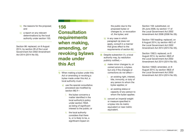- b) the reasons for the proposal; and
- c) a report on any relevant determinations by the local authority under section 155.

Section 86: replaced, on 8 August 2014, by section 28 of the Local Government Act 2002 Amendment Act 2014 (2014 No 55).

156 Consultation requirements when making, amending, or revoking bylaws made under this Act

- 1) When making a bylaw under this Act or amending or revoking a bylaw made under this Act, a local authority must
	- a) use the special consultative procedure (as modified by section 86) if
		- i. the bylaw concerns a matter identified in the local authority's policy under section 76AA as being of significant interest to the public; or
		- ii. the local authority considers that there is, or is likely to be, a significant impact on

the public due to the proposed bylaw or changes to, or revocation of, the bylaw; and

- b) in any case in which paragraph (a) does not apply, consult in a manner that gives effect to the requirements of section 82.
- 2) Despite subsection (1), a local authority may, by resolution publicly notified,
	- a) make minor changes to, or correct errors in, a bylaw, but only if the changes or corrections do not affect
		- an existing right, interest, title, immunity, or duty of any person to whom the bylaw applies; or
		- ii. an existing status or capacity of any person to whom the bylaw applies:
	- b) convert an imperial weight or measure specified in a bylaw into its metric equivalent or near metric equivalent.

Section 156: substituted, on 28 June 2006, by section 17 of the Local Government Act 2002 Amendment Act 2006 (2006 No 26).

Section 156 heading: replaced, on 8 August 2014, by section 48(1) of the Local Government Act 2002 Amendment Act 2014 (2014 No 55).

Section 156(1): replaced, on 8 August 2014, by section 48(2) of the Local Government Act 2002 Amendment Act 2014 (2014 No 55).

Section 156(2): amended, on 8 August 2014, by section 48(3) of the Local Government Act 2002 Amendment Act 2014 (2014 No 55).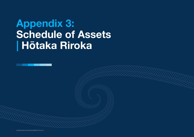# Appendix 3: Schedule of Assets | H**ō**taka Riroka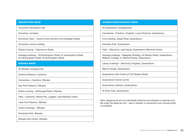#### ARROWTOWN WARD

Arrowtown Athenaeum Hall

Arrowtown cemetery

Arrowtown Gaol – Council owns the land only (Cardigan Street)

Arrowtown Library building

Elderly housing – Caernarvon Street

Heritage buildings – 59 Buckingham Street, 61 Buckingham Street, 61a Buckingham Street, 63 Buckingham Street

#### W**Ā**NAKA WARD

All Wānaka campgrounds

Cardrona Reserve, Cardrona

Cemeteries – Cardrona, Wānaka

Eely Point Reserve, Wānaka

Elderly housing – McDougall Street, Wānaka

Halls – Cardrona, Hāwea Flat, Luggate, Lake Wānaka Centre

Lake Front Reserve, Wānaka

Library buildings – Wānaka

Pembroke Park, Wānaka

Wānaka Arts Centre, Wānaka

#### QUEENSTOWN-WAKATIPU WARD

All Queenstown campgrounds

Cemeteries – Frankton, Kingston, Lower Shotover, Queenstown

Civic building, Gorge Road, Queenstown

Earnslaw Park, Queenstown

Halls – Glenorchy, Lake Hayes, Queenstown Memorial Centre

Heritage buildings – Malaghan Building, 44 Stanley Street, Queenstown; Williams Cottage, 21 Marine Parade, Queenstown

Library buildings – Glenorchy, Kingston, Queenstown

Marine Parade, Queenstown

Queenstown Arts Centre (47/49 Stanley Street)

Queenstown Events Centre

Queenstown Gardens, Queenstown

St Omer Park, Queenstown

*Note, playgrounds are not individually listed but are situated on reserves and fall under the Reserves Act – sale or transfer of ownership must include public consultation.*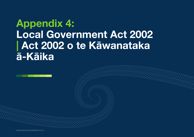### Appendix 4: Local Government Act 2002 | Act 2002 o te K**ā**wanataka **ā**-K**ā**ika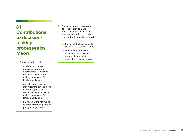### 81 **Contributions** to decisionmaking processes by M**ā**ori

1) A local authority must-

- a) establish and maintain processes to provide opportunities for M āori to contribute to the decisionmaking processes of the local authority; and
- b) consider ways in which it may foster the development of M āori capacity to contribute to the decisionmaking processes of the local authority; and
- c) provide relevant information to M āori for the purposes of paragraphs (a) and (b).
- 2) A local authority, in exercising its responsibility to make judgments about the manner in which subsection (1) is to be complied with, must have regard to
	- a) the role of the local authority, as set out in section 11; and
	- b) such other matters as the local authority considers on reasonable grounds to be relevant to those judgments.